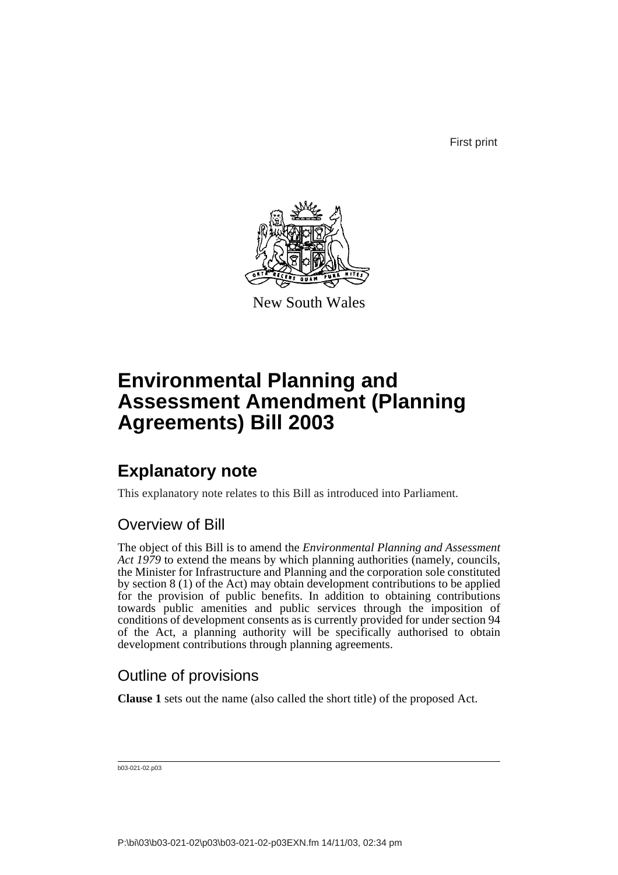First print



New South Wales

# **Environmental Planning and Assessment Amendment (Planning Agreements) Bill 2003**

## **Explanatory note**

This explanatory note relates to this Bill as introduced into Parliament.

## Overview of Bill

The object of this Bill is to amend the *Environmental Planning and Assessment Act 1979* to extend the means by which planning authorities (namely, councils, the Minister for Infrastructure and Planning and the corporation sole constituted by section 8 (1) of the Act) may obtain development contributions to be applied for the provision of public benefits. In addition to obtaining contributions towards public amenities and public services through the imposition of conditions of development consents as is currently provided for under section 94 of the Act, a planning authority will be specifically authorised to obtain development contributions through planning agreements.

### Outline of provisions

**Clause 1** sets out the name (also called the short title) of the proposed Act.

b03-021-02.p03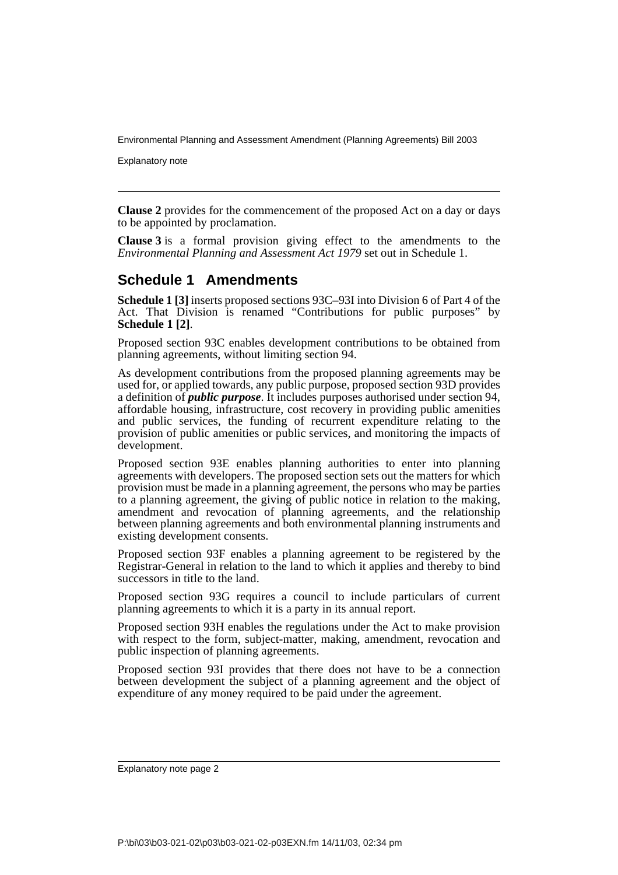Explanatory note

**Clause 2** provides for the commencement of the proposed Act on a day or days to be appointed by proclamation.

**Clause 3** is a formal provision giving effect to the amendments to the *Environmental Planning and Assessment Act 1979* set out in Schedule 1.

### **Schedule 1 Amendments**

**Schedule 1 [3]** inserts proposed sections 93C–93I into Division 6 of Part 4 of the Act. That Division is renamed "Contributions for public purposes" by **Schedule 1 [2]**.

Proposed section 93C enables development contributions to be obtained from planning agreements, without limiting section 94.

As development contributions from the proposed planning agreements may be used for, or applied towards, any public purpose, proposed section 93D provides a definition of *public purpose*. It includes purposes authorised under section 94, affordable housing, infrastructure, cost recovery in providing public amenities and public services, the funding of recurrent expenditure relating to the provision of public amenities or public services, and monitoring the impacts of development.

Proposed section 93E enables planning authorities to enter into planning agreements with developers. The proposed section sets out the matters for which provision must be made in a planning agreement, the persons who may be parties to a planning agreement, the giving of public notice in relation to the making, amendment and revocation of planning agreements, and the relationship between planning agreements and both environmental planning instruments and existing development consents.

Proposed section 93F enables a planning agreement to be registered by the Registrar-General in relation to the land to which it applies and thereby to bind successors in title to the land.

Proposed section 93G requires a council to include particulars of current planning agreements to which it is a party in its annual report.

Proposed section 93H enables the regulations under the Act to make provision with respect to the form, subject-matter, making, amendment, revocation and public inspection of planning agreements.

Proposed section 93I provides that there does not have to be a connection between development the subject of a planning agreement and the object of expenditure of any money required to be paid under the agreement.

Explanatory note page 2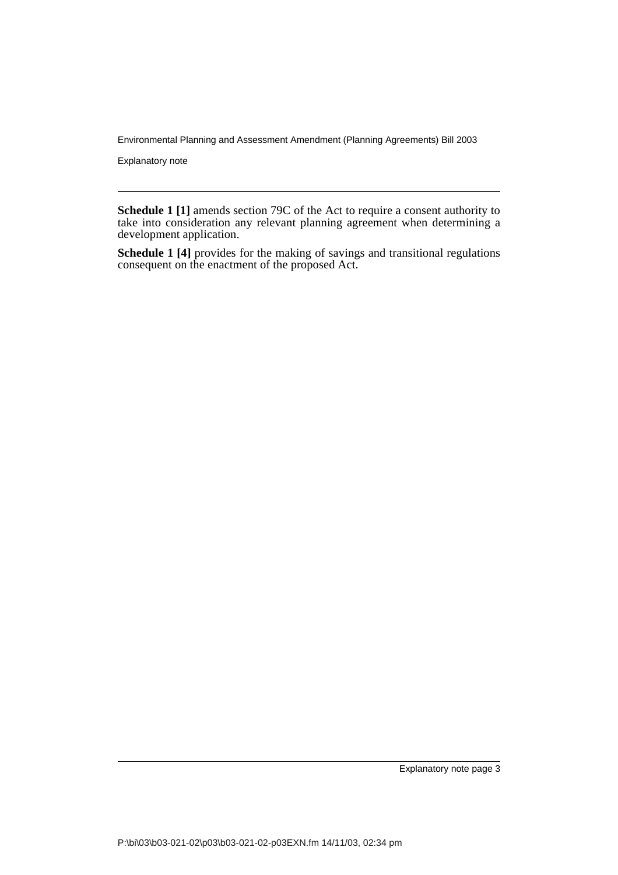Explanatory note

**Schedule 1 [1]** amends section 79C of the Act to require a consent authority to take into consideration any relevant planning agreement when determining a development application.

**Schedule 1 [4]** provides for the making of savings and transitional regulations consequent on the enactment of the proposed Act.

Explanatory note page 3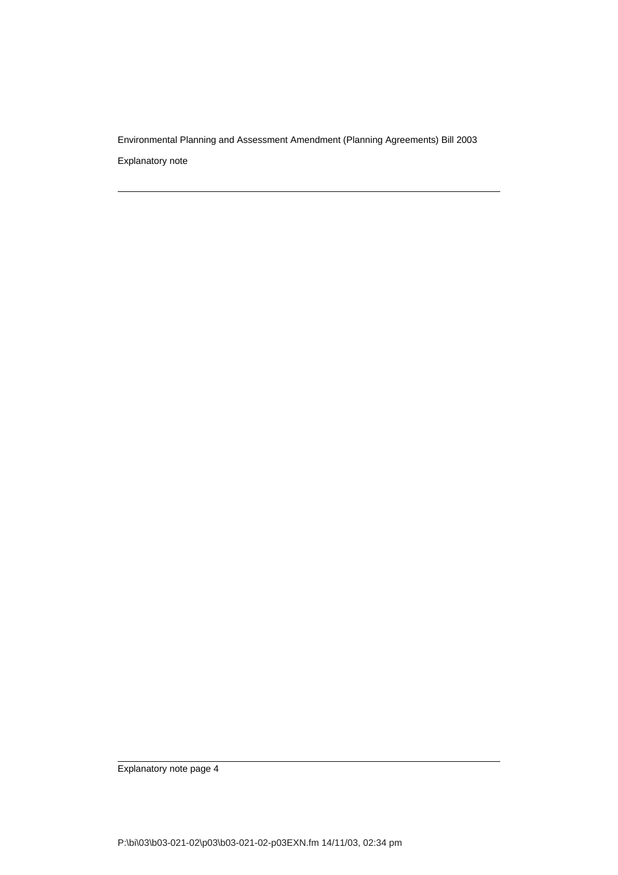Explanatory note

Explanatory note page 4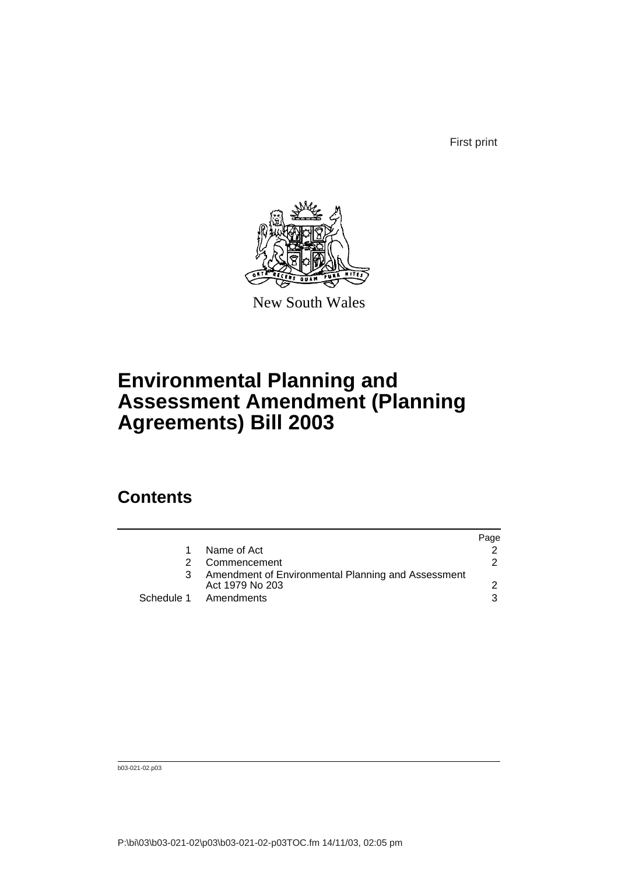First print



New South Wales

# **Environmental Planning and Assessment Amendment (Planning Agreements) Bill 2003**

## **Contents**

|                                                                       | Page |
|-----------------------------------------------------------------------|------|
| Name of Act                                                           |      |
| Commencement                                                          | 2    |
| Amendment of Environmental Planning and Assessment<br>Act 1979 No 203 |      |
| Schedule 1 Amendments                                                 | 3    |
|                                                                       |      |

b03-021-02.p03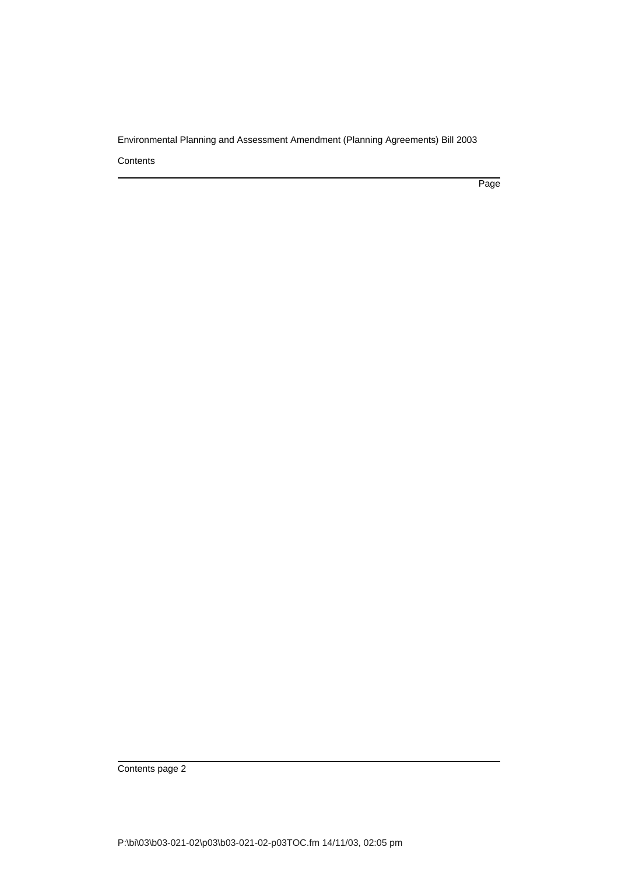**Contents** 

Page

Contents page 2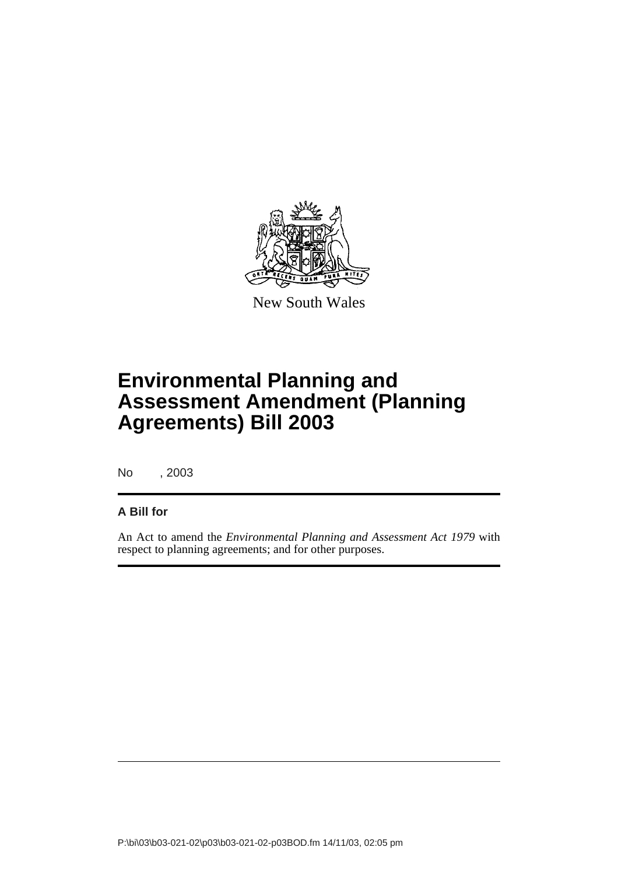

New South Wales

# **Environmental Planning and Assessment Amendment (Planning Agreements) Bill 2003**

No , 2003

### **A Bill for**

An Act to amend the *Environmental Planning and Assessment Act 1979* with respect to planning agreements; and for other purposes.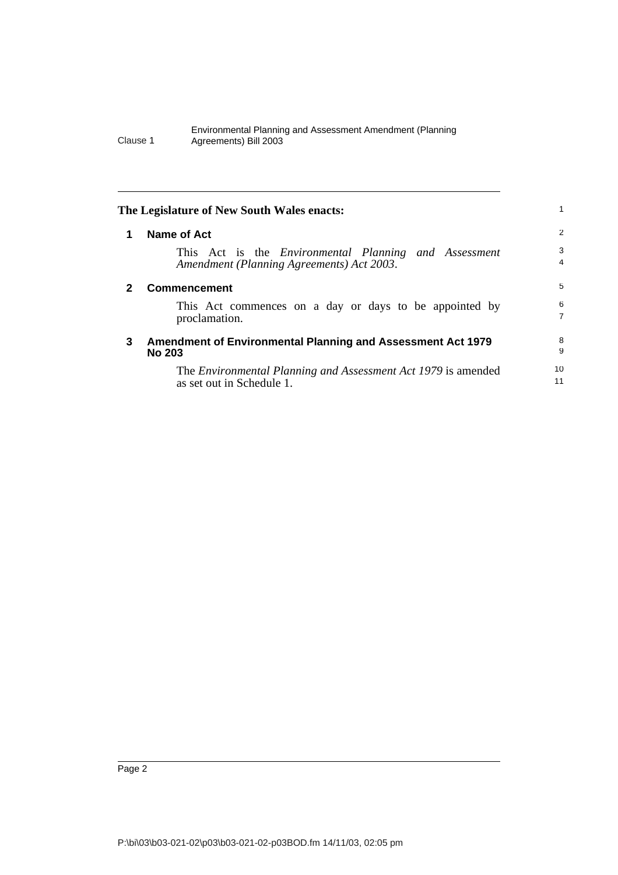<span id="page-7-2"></span><span id="page-7-1"></span><span id="page-7-0"></span>

| The Legislature of New South Wales enacts:                                                                |                                       |
|-----------------------------------------------------------------------------------------------------------|---------------------------------------|
| Name of Act<br>1                                                                                          | 2                                     |
| This Act is the <i>Environmental Planning and Assessment</i><br>Amendment (Planning Agreements) Act 2003. | 3<br>$\overline{4}$                   |
| <b>Commencement</b><br>$\mathbf{2}$                                                                       | 5                                     |
| This Act commences on a day or days to be appointed by<br>proclamation.                                   | 6<br>7                                |
| <b>Amendment of Environmental Planning and Assessment Act 1979</b><br>3<br><b>No 203</b>                  | $\begin{array}{c} 8 \\ 9 \end{array}$ |
| The Environmental Planning and Assessment Act 1979 is amended<br>as set out in Schedule 1.                | 10<br>11                              |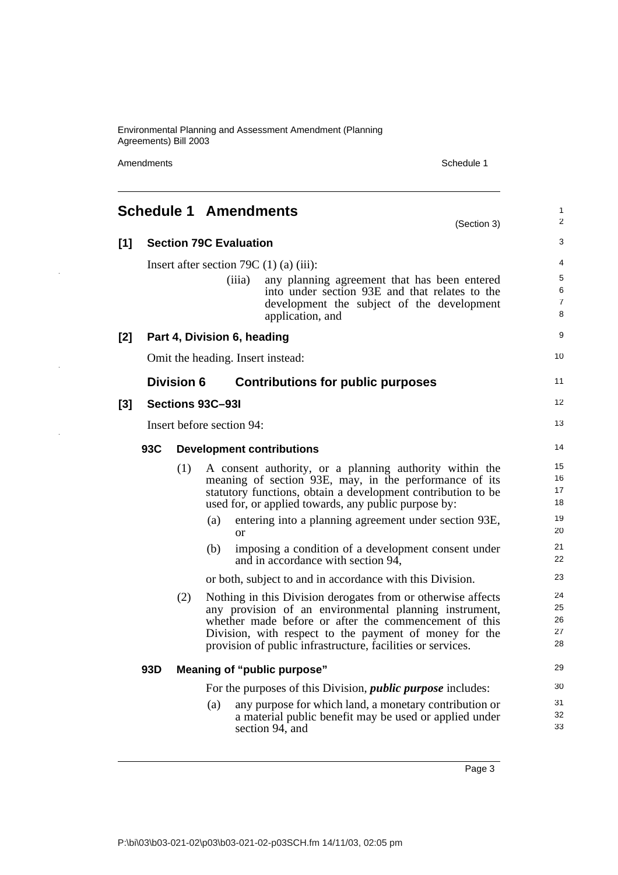Amendments Schedule 1

 $\overline{a}$ 

<span id="page-8-0"></span>

|                |                               |                   | <b>Schedule 1 Amendments</b>                                                                                                                                                                                                                                                                             | (Section 3) | 1<br>2                     |  |
|----------------|-------------------------------|-------------------|----------------------------------------------------------------------------------------------------------------------------------------------------------------------------------------------------------------------------------------------------------------------------------------------------------|-------------|----------------------------|--|
| $[1]$          | <b>Section 79C Evaluation</b> |                   |                                                                                                                                                                                                                                                                                                          |             |                            |  |
|                |                               |                   | Insert after section 79C $(1)$ $(a)$ $(iii)$ :<br>(iii)<br>any planning agreement that has been entered<br>into under section 93E and that relates to the<br>development the subject of the development<br>application, and                                                                              |             | 4<br>5<br>6<br>7<br>8      |  |
| $\mathbf{[2]}$ |                               |                   | Part 4, Division 6, heading                                                                                                                                                                                                                                                                              |             | 9                          |  |
|                |                               |                   | Omit the heading. Insert instead:                                                                                                                                                                                                                                                                        |             | 10                         |  |
|                |                               | <b>Division 6</b> | <b>Contributions for public purposes</b>                                                                                                                                                                                                                                                                 |             | 11                         |  |
| $[3]$          |                               |                   | Sections 93C-93I                                                                                                                                                                                                                                                                                         |             | 12                         |  |
|                |                               |                   | Insert before section 94:                                                                                                                                                                                                                                                                                |             | 13                         |  |
|                | 93C                           |                   | <b>Development contributions</b>                                                                                                                                                                                                                                                                         |             | 14                         |  |
|                |                               | (1)               | A consent authority, or a planning authority within the<br>meaning of section 93E, may, in the performance of its<br>statutory functions, obtain a development contribution to be<br>used for, or applied towards, any public purpose by:                                                                |             | 15<br>16<br>17<br>18       |  |
|                |                               |                   | (a)<br>entering into a planning agreement under section 93E,<br><b>or</b>                                                                                                                                                                                                                                |             | 19<br>20                   |  |
|                |                               |                   | (b)<br>imposing a condition of a development consent under<br>and in accordance with section 94,                                                                                                                                                                                                         |             | 21<br>22                   |  |
|                |                               |                   | or both, subject to and in accordance with this Division.                                                                                                                                                                                                                                                |             | 23                         |  |
|                |                               | (2)               | Nothing in this Division derogates from or otherwise affects<br>any provision of an environmental planning instrument,<br>whether made before or after the commencement of this<br>Division, with respect to the payment of money for the<br>provision of public infrastructure, facilities or services. |             | 24<br>25<br>26<br>27<br>28 |  |
|                | 93D                           |                   | <b>Meaning of "public purpose"</b>                                                                                                                                                                                                                                                                       |             | 29                         |  |
|                |                               |                   | For the purposes of this Division, <i>public purpose</i> includes:<br>any purpose for which land, a monetary contribution or<br>(a)<br>a material public benefit may be used or applied under<br>section 94, and                                                                                         |             | 30<br>31<br>32<br>33       |  |

Page 3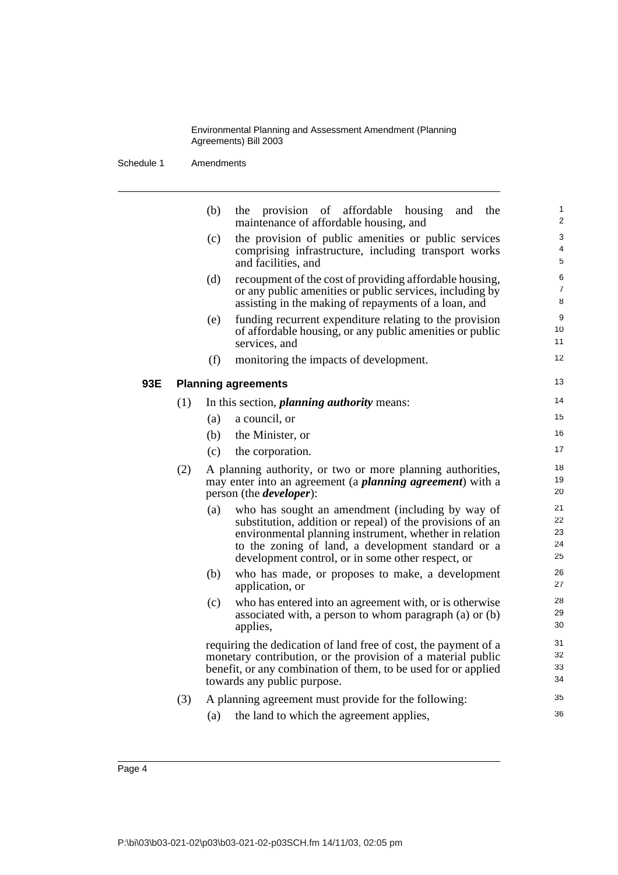Schedule 1 Amendments

|     |     | (b) | the provision of affordable housing<br>and the<br>maintenance of affordable housing, and                                                                                                                                                                                           |  |
|-----|-----|-----|------------------------------------------------------------------------------------------------------------------------------------------------------------------------------------------------------------------------------------------------------------------------------------|--|
|     |     | (c) | the provision of public amenities or public services<br>comprising infrastructure, including transport works<br>and facilities, and                                                                                                                                                |  |
|     |     | (d) | recoupment of the cost of providing affordable housing,<br>or any public amenities or public services, including by<br>assisting in the making of repayments of a loan, and                                                                                                        |  |
|     |     | (e) | funding recurrent expenditure relating to the provision<br>of affordable housing, or any public amenities or public<br>services, and                                                                                                                                               |  |
|     |     | (f) | monitoring the impacts of development.                                                                                                                                                                                                                                             |  |
| 93E |     |     | <b>Planning agreements</b>                                                                                                                                                                                                                                                         |  |
|     | (1) |     | In this section, <i>planning authority</i> means:                                                                                                                                                                                                                                  |  |
|     |     | (a) | a council, or                                                                                                                                                                                                                                                                      |  |
|     |     | (b) | the Minister, or                                                                                                                                                                                                                                                                   |  |
|     |     | (c) | the corporation.                                                                                                                                                                                                                                                                   |  |
|     | (2) |     | A planning authority, or two or more planning authorities,<br>may enter into an agreement (a <i>planning agreement</i> ) with a<br>person (the <i>developer</i> ):                                                                                                                 |  |
|     |     | (a) | who has sought an amendment (including by way of<br>substitution, addition or repeal) of the provisions of an<br>environmental planning instrument, whether in relation<br>to the zoning of land, a development standard or a<br>development control, or in some other respect, or |  |
|     |     | (b) | who has made, or proposes to make, a development<br>application, or                                                                                                                                                                                                                |  |
|     |     | (c) | who has entered into an agreement with, or is otherwise<br>associated with, a person to whom paragraph (a) or (b)<br>applies,                                                                                                                                                      |  |
|     |     |     | requiring the dedication of land free of cost, the payment of a<br>monetary contribution, or the provision of a material public<br>benefit, or any combination of them, to be used for or applied<br>towards any public purpose.                                                   |  |
|     | (3) |     | A planning agreement must provide for the following:                                                                                                                                                                                                                               |  |
|     |     | (a) | the land to which the agreement applies,                                                                                                                                                                                                                                           |  |
|     |     |     |                                                                                                                                                                                                                                                                                    |  |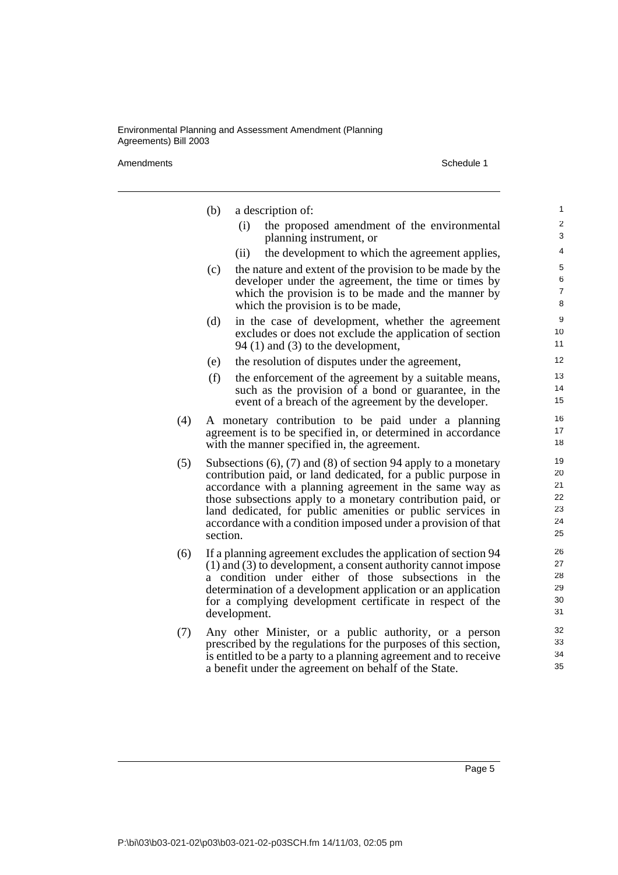Amendments Schedule 1

|     | (b)      | a description of:                                                                                                                   | $\mathbf{1}$                       |
|-----|----------|-------------------------------------------------------------------------------------------------------------------------------------|------------------------------------|
|     |          | the proposed amendment of the environmental<br>(i)<br>planning instrument, or                                                       | 2<br>3                             |
|     |          | (ii)<br>the development to which the agreement applies,                                                                             | 4                                  |
|     | (c)      | the nature and extent of the provision to be made by the                                                                            | 5                                  |
|     |          | developer under the agreement, the time or times by                                                                                 | 6                                  |
|     |          | which the provision is to be made and the manner by<br>which the provision is to be made,                                           | $\overline{\mathcal{I}}$<br>$\bf8$ |
|     | (d)      | in the case of development, whether the agreement                                                                                   | $\boldsymbol{9}$                   |
|     |          | excludes or does not exclude the application of section                                                                             | 10                                 |
|     |          | $94(1)$ and (3) to the development,                                                                                                 | 11                                 |
|     | (e)      | the resolution of disputes under the agreement,                                                                                     | 12                                 |
|     | (f)      | the enforcement of the agreement by a suitable means,                                                                               | 13                                 |
|     |          | such as the provision of a bond or guarantee, in the<br>event of a breach of the agreement by the developer.                        | 14<br>15                           |
|     |          |                                                                                                                                     | 16                                 |
| (4) |          | A monetary contribution to be paid under a planning<br>agreement is to be specified in, or determined in accordance                 | 17                                 |
|     |          | with the manner specified in, the agreement.                                                                                        | 18                                 |
| (5) |          | Subsections $(6)$ , $(7)$ and $(8)$ of section 94 apply to a monetary                                                               | 19                                 |
|     |          | contribution paid, or land dedicated, for a public purpose in                                                                       | 20<br>21                           |
|     |          | accordance with a planning agreement in the same way as<br>those subsections apply to a monetary contribution paid, or              | 22                                 |
|     |          | land dedicated, for public amenities or public services in                                                                          | 23                                 |
|     |          | accordance with a condition imposed under a provision of that                                                                       | 24                                 |
|     | section. |                                                                                                                                     | 25                                 |
| (6) |          | If a planning agreement excludes the application of section 94                                                                      | 26<br>27                           |
|     |          | $(1)$ and $(3)$ to development, a consent authority cannot impose<br>a condition under either of those subsections in the           | 28                                 |
|     |          | determination of a development application or an application                                                                        | 29                                 |
|     |          | for a complying development certificate in respect of the                                                                           | 30                                 |
|     |          | development.                                                                                                                        | 31                                 |
| (7) |          | Any other Minister, or a public authority, or a person                                                                              | 32<br>33                           |
|     |          | prescribed by the regulations for the purposes of this section,<br>is entitled to be a party to a planning agreement and to receive | 34                                 |
|     |          | a benefit under the agreement on behalf of the State.                                                                               | 35                                 |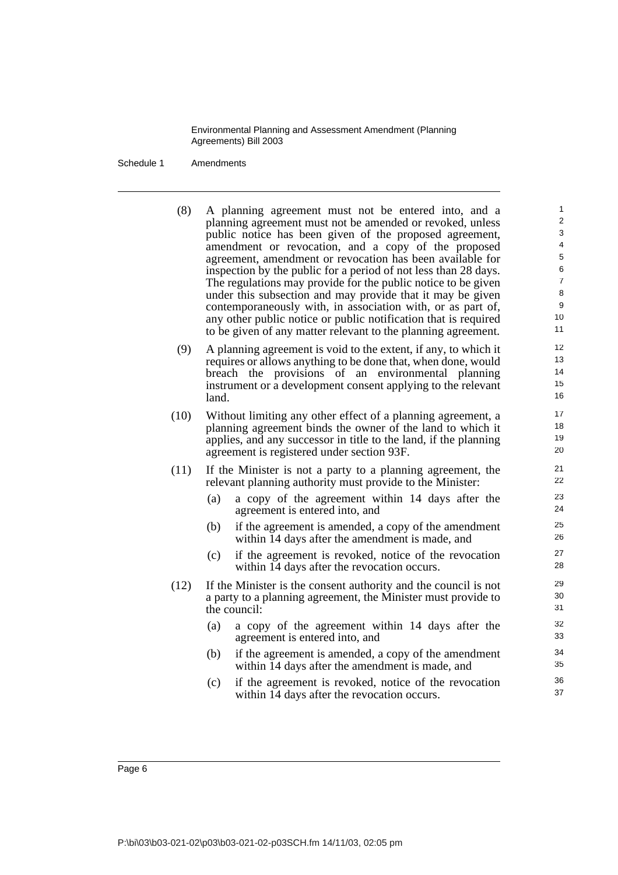Schedule 1 Amendments

| (8)  | A planning agreement must not be entered into, and a<br>planning agreement must not be amended or revoked, unless<br>public notice has been given of the proposed agreement,<br>amendment or revocation, and a copy of the proposed<br>agreement, amendment or revocation has been available for<br>inspection by the public for a period of not less than 28 days.<br>The regulations may provide for the public notice to be given<br>under this subsection and may provide that it may be given<br>contemporaneously with, in association with, or as part of,<br>any other public notice or public notification that is required<br>to be given of any matter relevant to the planning agreement. | 1<br>$\boldsymbol{2}$<br>3<br>$\overline{\mathbf{4}}$<br>5<br>$\,6$<br>$\overline{7}$<br>8<br>$\boldsymbol{9}$<br>10<br>11 |  |  |  |
|------|-------------------------------------------------------------------------------------------------------------------------------------------------------------------------------------------------------------------------------------------------------------------------------------------------------------------------------------------------------------------------------------------------------------------------------------------------------------------------------------------------------------------------------------------------------------------------------------------------------------------------------------------------------------------------------------------------------|----------------------------------------------------------------------------------------------------------------------------|--|--|--|
| (9)  | A planning agreement is void to the extent, if any, to which it<br>requires or allows anything to be done that, when done, would<br>breach the provisions of an environmental planning<br>instrument or a development consent applying to the relevant<br>land.                                                                                                                                                                                                                                                                                                                                                                                                                                       |                                                                                                                            |  |  |  |
| (10) | Without limiting any other effect of a planning agreement, a<br>planning agreement binds the owner of the land to which it<br>applies, and any successor in title to the land, if the planning<br>agreement is registered under section 93F.                                                                                                                                                                                                                                                                                                                                                                                                                                                          |                                                                                                                            |  |  |  |
| (11) | If the Minister is not a party to a planning agreement, the<br>relevant planning authority must provide to the Minister:<br>a copy of the agreement within 14 days after the<br>(a)                                                                                                                                                                                                                                                                                                                                                                                                                                                                                                                   |                                                                                                                            |  |  |  |
|      | agreement is entered into, and<br>if the agreement is amended, a copy of the amendment<br>(b)<br>within 14 days after the amendment is made, and                                                                                                                                                                                                                                                                                                                                                                                                                                                                                                                                                      | 24<br>25<br>26                                                                                                             |  |  |  |
|      | if the agreement is revoked, notice of the revocation<br>(c)<br>within 14 days after the revocation occurs.                                                                                                                                                                                                                                                                                                                                                                                                                                                                                                                                                                                           | 27<br>28                                                                                                                   |  |  |  |
| (12) | If the Minister is the consent authority and the council is not<br>a party to a planning agreement the Minister must provide to                                                                                                                                                                                                                                                                                                                                                                                                                                                                                                                                                                       | 29<br>30                                                                                                                   |  |  |  |

a party to a planning agreement, the Minister must provide to the council:

- (a) a copy of the agreement within 14 days after the agreement is entered into, and
- (b) if the agreement is amended, a copy of the amendment within 14 days after the amendment is made, and

(c) if the agreement is revoked, notice of the revocation within 14 days after the revocation occurs.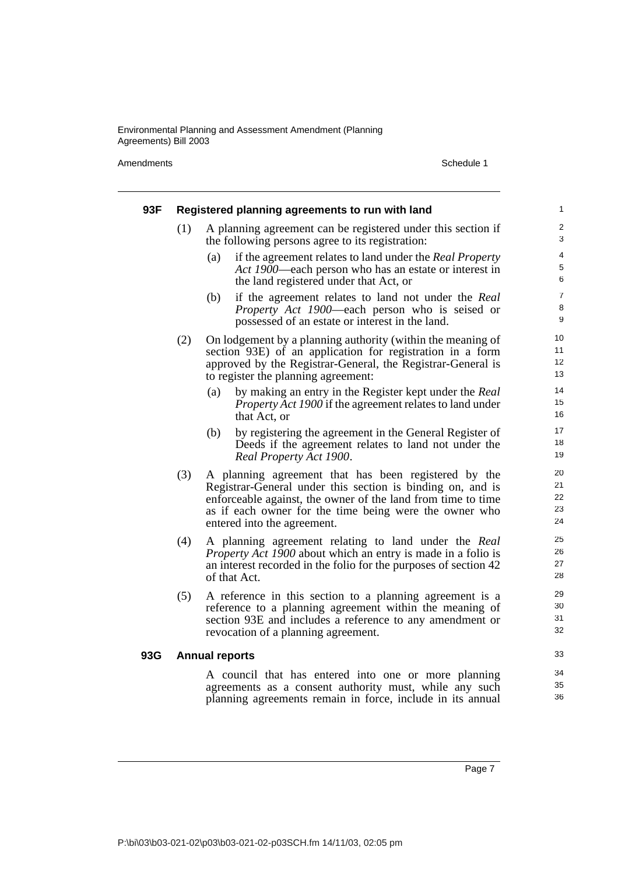Amendments Schedule 1

| 93F | Registered planning agreements to run with land |                                                                                                                                                                                                                                                                             |                              |  |  |  |  |
|-----|-------------------------------------------------|-----------------------------------------------------------------------------------------------------------------------------------------------------------------------------------------------------------------------------------------------------------------------------|------------------------------|--|--|--|--|
|     | (1)                                             | A planning agreement can be registered under this section if<br>the following persons agree to its registration:                                                                                                                                                            | 2<br>3                       |  |  |  |  |
|     |                                                 | if the agreement relates to land under the Real Property<br>(a)<br>Act 1900—each person who has an estate or interest in<br>the land registered under that Act, or                                                                                                          | 4<br>5<br>6                  |  |  |  |  |
|     |                                                 | (b)<br>if the agreement relates to land not under the Real<br>Property Act 1900—each person who is seised or<br>possessed of an estate or interest in the land.                                                                                                             | $\overline{7}$<br>8<br>9     |  |  |  |  |
|     | (2)                                             | On lodgement by a planning authority (within the meaning of<br>section 93E) of an application for registration in a form<br>approved by the Registrar-General, the Registrar-General is<br>to register the planning agreement:                                              | 10<br>11<br>12<br>13         |  |  |  |  |
|     |                                                 | by making an entry in the Register kept under the Real<br>(a)<br><i>Property Act 1900</i> if the agreement relates to land under<br>that Act, or                                                                                                                            | 14<br>15 <sub>15</sub><br>16 |  |  |  |  |
|     |                                                 | (b)<br>by registering the agreement in the General Register of<br>Deeds if the agreement relates to land not under the<br>Real Property Act 1900.                                                                                                                           | 17<br>18<br>19               |  |  |  |  |
|     | (3)                                             | A planning agreement that has been registered by the<br>Registrar-General under this section is binding on, and is<br>enforceable against, the owner of the land from time to time<br>as if each owner for the time being were the owner who<br>entered into the agreement. | 20<br>21<br>22<br>23<br>24   |  |  |  |  |
|     | (4)                                             | A planning agreement relating to land under the Real<br><i>Property Act 1900</i> about which an entry is made in a folio is<br>an interest recorded in the folio for the purposes of section 42<br>of that Act.                                                             | 25<br>26<br>27<br>28         |  |  |  |  |
|     | (5)                                             | A reference in this section to a planning agreement is a<br>reference to a planning agreement within the meaning of<br>section 93E and includes a reference to any amendment or<br>revocation of a planning agreement.                                                      | 29<br>30<br>31<br>32         |  |  |  |  |
| 93G |                                                 | <b>Annual reports</b>                                                                                                                                                                                                                                                       | 33                           |  |  |  |  |
|     |                                                 | A council that has entered into one or more planning<br>agreements as a consent authority must, while any such<br>planning agreements remain in force, include in its annual                                                                                                | 34<br>35<br>36               |  |  |  |  |

Page 7